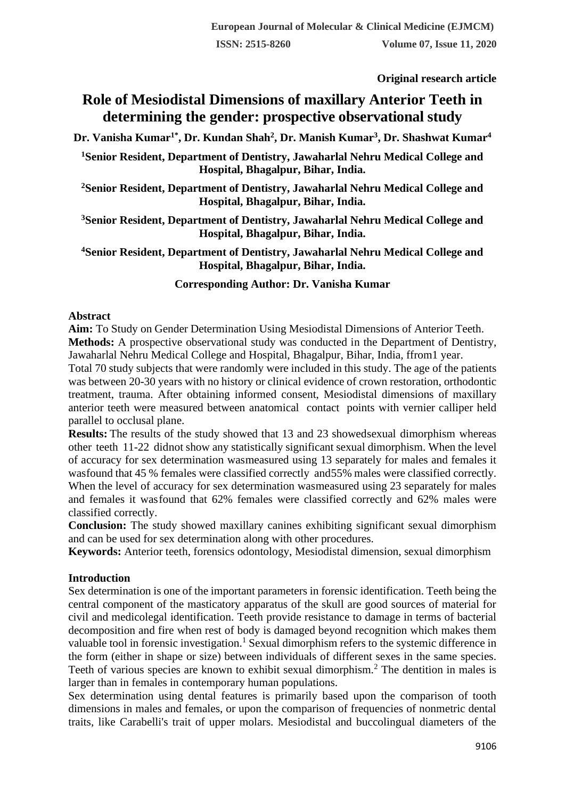**Original research article** 

# **Role of Mesiodistal Dimensions of maxillary Anterior Teeth in determining the gender: prospective observational study**

**Dr. Vanisha Kumar1\* , Dr. Kundan Shah<sup>2</sup> , Dr. Manish Kumar<sup>3</sup> , Dr. Shashwat Kumar<sup>4</sup>**

**<sup>1</sup>Senior Resident, Department of Dentistry, Jawaharlal Nehru Medical College and Hospital, Bhagalpur, Bihar, India.**

**<sup>2</sup>Senior Resident, Department of Dentistry, Jawaharlal Nehru Medical College and Hospital, Bhagalpur, Bihar, India.**

**<sup>3</sup>Senior Resident, Department of Dentistry, Jawaharlal Nehru Medical College and Hospital, Bhagalpur, Bihar, India.**

**<sup>4</sup>Senior Resident, Department of Dentistry, Jawaharlal Nehru Medical College and Hospital, Bhagalpur, Bihar, India.**

**Corresponding Author: Dr. Vanisha Kumar**

## **Abstract**

**Aim:** To Study on Gender Determination Using Mesiodistal Dimensions of Anterior Teeth. **Methods:** A prospective observational study was conducted in the Department of Dentistry, Jawaharlal Nehru Medical College and Hospital, Bhagalpur, Bihar, India, ffrom1 year.

Total 70 study subjects that were randomly were included in this study. The age of the patients was between 20-30 years with no history or clinical evidence of crown restoration, orthodontic treatment, trauma. After obtaining informed consent, Mesiodistal dimensions of maxillary anterior teeth were measured between anatomical contact points with vernier calliper held parallel to occlusal plane.

**Results:** The results of the study showed that 13 and 23 showedsexual dimorphism whereas other teeth 11-22 didnot show any statistically significant sexual dimorphism. When the level of accuracy for sex determination wasmeasured using 13 separately for males and females it wasfound that 45 % females were classified correctly and55% males were classified correctly. When the level of accuracy for sex determination was measured using 23 separately for males and females it wasfound that 62% females were classified correctly and 62% males were classified correctly.

**Conclusion:** The study showed maxillary canines exhibiting significant sexual dimorphism and can be used for sex determination along with other procedures.

**Keywords:** Anterior teeth, forensics odontology, Mesiodistal dimension, sexual dimorphism

## **Introduction**

Sex determination is one of the important parameters in forensic identification. Teeth being the central component of the masticatory apparatus of the skull are good sources of material for civil and medicolegal identification. Teeth provide resistance to damage in terms of bacterial decomposition and fire when rest of body is damaged beyond recognition which makes them valuable tool in forensic investigation.<sup>1</sup> Sexual dimorphism refers to the systemic difference in the form (either in shape or size) between individuals of different sexes in the same species. Teeth of various species are known to exhibit sexual dimorphism.<sup>2</sup> The dentition in males is larger than in females in contemporary human populations.

Sex determination using dental features is primarily based upon the comparison of tooth dimensions in males and females, or upon the comparison of frequencies of nonmetric dental traits, like Carabelli's trait of upper molars. Mesiodistal and buccolingual diameters of the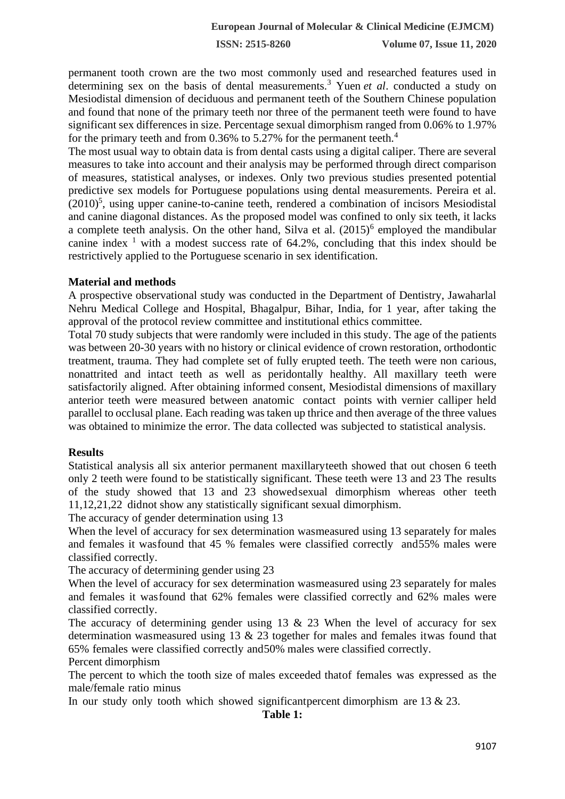**ISSN: 2515-8260 Volume 07, Issue 11, 2020**

permanent tooth crown are the two most commonly used and researched features used in determining sex on the basis of dental measurements.<sup>3</sup> Yuen *et al*. conducted a study on Mesiodistal dimension of deciduous and permanent teeth of the Southern Chinese population and found that none of the primary teeth nor three of the permanent teeth were found to have significant sex differences in size. Percentage sexual dimorphism ranged from 0.06% to 1.97% for the primary teeth and from 0.36% to 5.27% for the permanent teeth.<sup>4</sup>

The most usual way to obtain data is from dental casts using a digital caliper. There are several measures to take into account and their analysis may be performed through direct comparison of measures, statistical analyses, or indexes. Only two previous studies presented potential predictive sex models for Portuguese populations using dental measurements. Pereira et al.  $(2010)^5$ , using upper canine-to-canine teeth, rendered a combination of incisors Mesiodistal and canine diagonal distances. As the proposed model was confined to only six teeth, it lacks a complete teeth analysis. On the other hand, Silva et al.  $(2015)^6$  employed the mandibular canine index  $\frac{1}{1}$  with a modest success rate of 64.2%, concluding that this index should be restrictively applied to the Portuguese scenario in sex identification.

## **Material and methods**

A prospective observational study was conducted in the Department of Dentistry, Jawaharlal Nehru Medical College and Hospital, Bhagalpur, Bihar, India, for 1 year, after taking the approval of the protocol review committee and institutional ethics committee.

Total 70 study subjects that were randomly were included in this study. The age of the patients was between 20-30 years with no history or clinical evidence of crown restoration, orthodontic treatment, trauma. They had complete set of fully erupted teeth. The teeth were non carious, nonattrited and intact teeth as well as peridontally healthy. All maxillary teeth were satisfactorily aligned. After obtaining informed consent, Mesiodistal dimensions of maxillary anterior teeth were measured between anatomic contact points with vernier calliper held parallel to occlusal plane. Each reading was taken up thrice and then average of the three values was obtained to minimize the error. The data collected was subjected to statistical analysis.

### **Results**

Statistical analysis all six anterior permanent maxillaryteeth showed that out chosen 6 teeth only 2 teeth were found to be statistically significant. These teeth were 13 and 23 The results of the study showed that 13 and 23 showedsexual dimorphism whereas other teeth 11,12,21,22 didnot show any statistically significant sexual dimorphism.

The accuracy of gender determination using 13

When the level of accuracy for sex determination was measured using 13 separately for males and females it wasfound that 45 % females were classified correctly and55% males were classified correctly.

The accuracy of determining gender using 23

When the level of accuracy for sex determination was measured using 23 separately for males and females it wasfound that 62% females were classified correctly and 62% males were classified correctly.

The accuracy of determining gender using  $13 \& 23$  When the level of accuracy for sex determination wasmeasured using 13 & 23 together for males and females itwas found that 65% females were classified correctly and50% males were classified correctly.

Percent dimorphism

The percent to which the tooth size of males exceeded thatof females was expressed as the male/female ratio minus

In our study only tooth which showed significant percent dimorphism are  $13 \& 23$ .

**Table 1:**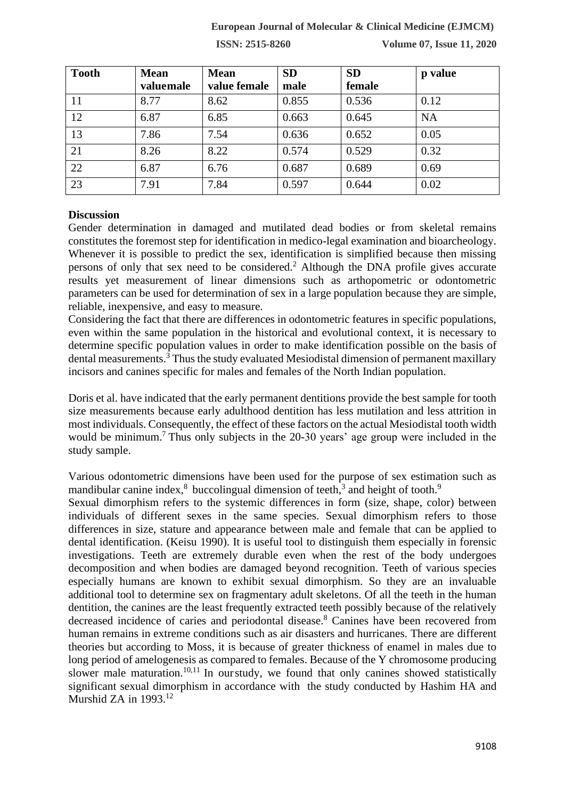## **European Journal of Molecular & Clinical Medicine (EJMCM)**

**ISSN: 2515-8260 Volume 07, Issue 11, 2020**

| <b>Tooth</b> | <b>Mean</b> | <b>Mean</b>  | <b>SD</b> | <b>SD</b> | p value   |
|--------------|-------------|--------------|-----------|-----------|-----------|
|              | valuemale   | value female | male      | female    |           |
| 11           | 8.77        | 8.62         | 0.855     | 0.536     | 0.12      |
| 12           | 6.87        | 6.85         | 0.663     | 0.645     | <b>NA</b> |
| 13           | 7.86        | 7.54         | 0.636     | 0.652     | 0.05      |
| 21           | 8.26        | 8.22         | 0.574     | 0.529     | 0.32      |
| 22           | 6.87        | 6.76         | 0.687     | 0.689     | 0.69      |
| 23           | 7.91        | 7.84         | 0.597     | 0.644     | 0.02      |

#### **Discussion**

Gender determination in damaged and mutilated dead bodies or from skeletal remains constitutes the foremost step for identification in medico-legal examination and bioarcheology. Whenever it is possible to predict the sex, identification is simplified because then missing persons of only that sex need to be considered.<sup>2</sup> Although the DNA profile gives accurate results yet measurement of linear dimensions such as arthopometric or odontometric parameters can be used for determination of sex in a large population because they are simple, reliable, inexpensive, and easy to measure.

Considering the fact that there are differences in odontometric features in specific populations, even within the same population in the historical and evolutional context, it is necessary to determine specific population values in order to make identification possible on the basis of dental measurements.<sup>3</sup> Thus the study evaluated Mesiodistal dimension of permanent maxillary incisors and canines specific for males and females of the North Indian population.

Doris et al. have indicated that the early permanent dentitions provide the best sample for tooth size measurements because early adulthood dentition has less mutilation and less attrition in most individuals. Consequently, the effect of these factors on the actual Mesiodistal tooth width would be minimum.<sup>7</sup> Thus only subjects in the 20-30 years' age group were included in the study sample.

Various odontometric dimensions have been used for the purpose of sex estimation such as mandibular canine index, $8\text{ buccolingual dimension of teeth},^3$  and height of tooth.<sup>9</sup>

Sexual dimorphism refers to the systemic differences in form (size, shape, color) between individuals of different sexes in the same species. Sexual dimorphism refers to those differences in size, stature and appearance between male and female that can be applied to dental identification. (Keisu 1990). It is useful tool to distinguish them especially in forensic investigations. Teeth are extremely durable even when the rest of the body undergoes decomposition and when bodies are damaged beyond recognition. Teeth of various species especially humans are known to exhibit sexual dimorphism. So they are an invaluable additional tool to determine sex on fragmentary adult skeletons. Of all the teeth in the human dentition, the canines are the least frequently extracted teeth possibly because of the relatively decreased incidence of caries and periodontal disease.<sup>8</sup> Canines have been recovered from human remains in extreme conditions such as air disasters and hurricanes. There are different theories but according to Moss, it is because of greater thickness of enamel in males due to long period of amelogenesis as compared to females. Because of the Y chromosome producing slower male maturation.<sup>10,11</sup> In our study, we found that only canines showed statistically significant sexual dimorphism in accordance with the study conducted by Hashim HA and Murshid ZA in 1993.<sup>12</sup>